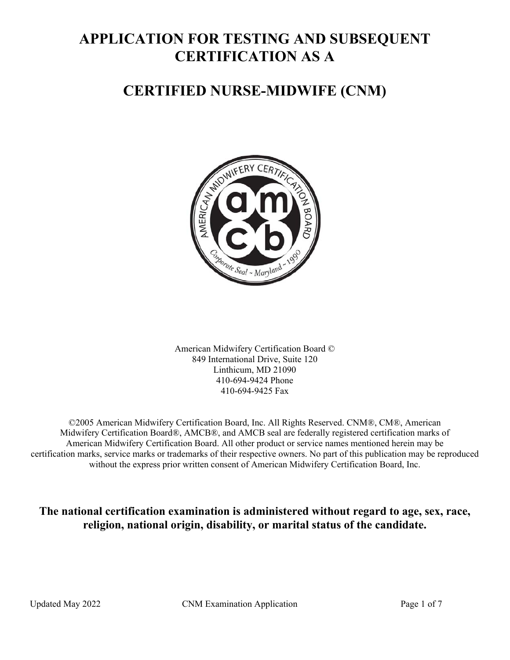# **APPLICATION FOR TESTING AND SUBSEQUENT CERTIFICATION AS A**

# **CERTIFIED NURSE-MIDWIFE (CNM)**



American Midwifery Certification Board © 849 International Drive, Suite 120 Linthicum, MD 21090 410-694-9424 Phone 410-694-9425 Fax

©2005 American Midwifery Certification Board, Inc. All Rights Reserved. CNM®, CM®, American Midwifery Certification Board®, AMCB®, and AMCB seal are federally registered certification marks of American Midwifery Certification Board. All other product or service names mentioned herein may be certification marks, service marks or trademarks of their respective owners. No part of this publication may be reproduced without the express prior written consent of American Midwifery Certification Board, Inc.

**The national certification examination is administered without regard to age, sex, race, religion, national origin, disability, or marital status of the candidate.**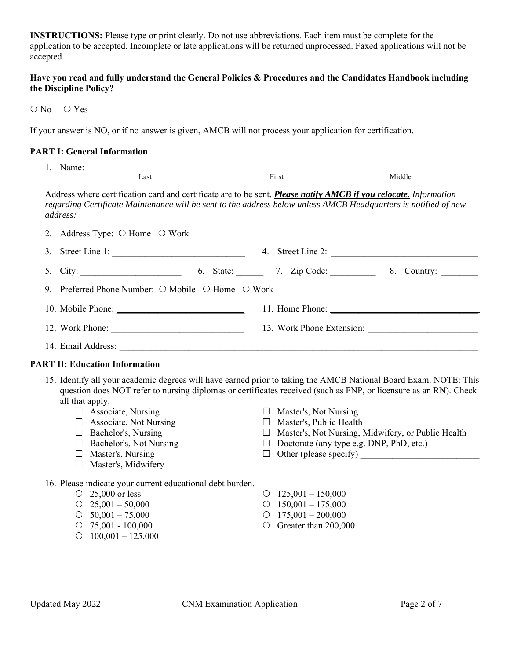**INSTRUCTIONS:** Please type or print clearly. Do not use abbreviations. Each item must be complete for the application to be accepted. Incomplete or late applications will be returned unprocessed. Faxed applications will not be accepted.

#### **Have you read and fully understand the General Policies & Procedures and the Candidates Handbook including the Discipline Policy?**

O No O Yes

If your answer is NO, or if no answer is given, AMCB will not process your application for certification.

#### **PART I: General Information**

|    | 1. Name:<br>Last                                                                                                                                                                                                                                                                                                                                                                                                                           | First |                                                                                                                     | Middle                                                                                                                                          |
|----|--------------------------------------------------------------------------------------------------------------------------------------------------------------------------------------------------------------------------------------------------------------------------------------------------------------------------------------------------------------------------------------------------------------------------------------------|-------|---------------------------------------------------------------------------------------------------------------------|-------------------------------------------------------------------------------------------------------------------------------------------------|
|    |                                                                                                                                                                                                                                                                                                                                                                                                                                            |       |                                                                                                                     |                                                                                                                                                 |
|    | Address where certification card and certificate are to be sent. Please notify AMCB if you relocate. Information<br>regarding Certificate Maintenance will be sent to the address below unless AMCB Headquarters is notified of new<br>address:                                                                                                                                                                                            |       |                                                                                                                     |                                                                                                                                                 |
| 2. | Address Type: O Home O Work                                                                                                                                                                                                                                                                                                                                                                                                                |       |                                                                                                                     |                                                                                                                                                 |
| 3. |                                                                                                                                                                                                                                                                                                                                                                                                                                            |       |                                                                                                                     |                                                                                                                                                 |
| 5. |                                                                                                                                                                                                                                                                                                                                                                                                                                            |       |                                                                                                                     |                                                                                                                                                 |
| 9. | Preferred Phone Number: ○ Mobile ○ Home ○ Work                                                                                                                                                                                                                                                                                                                                                                                             |       |                                                                                                                     |                                                                                                                                                 |
|    |                                                                                                                                                                                                                                                                                                                                                                                                                                            |       |                                                                                                                     |                                                                                                                                                 |
|    |                                                                                                                                                                                                                                                                                                                                                                                                                                            |       |                                                                                                                     |                                                                                                                                                 |
|    |                                                                                                                                                                                                                                                                                                                                                                                                                                            |       |                                                                                                                     |                                                                                                                                                 |
|    | <b>PART II: Education Information</b>                                                                                                                                                                                                                                                                                                                                                                                                      |       |                                                                                                                     |                                                                                                                                                 |
|    | 15. Identify all your academic degrees will have earned prior to taking the AMCB National Board Exam. NOTE: This<br>question does NOT refer to nursing diplomas or certificates received (such as FNP, or licensure as an RN). Check<br>all that apply.<br>$\Box$ Associate, Nursing<br>$\Box$ Associate, Not Nursing<br>$\Box$ Bachelor's, Nursing<br>$\Box$ Bachelor's, Not Nursing<br>$\Box$ Master's, Nursing<br>□ Master's, Midwifery |       | $\Box$ Master's, Not Nursing<br>$\Box$ Master's, Public Health                                                      | □ Master's, Not Nursing, Midwifery, or Public Health<br>$\Box$ Doctorate (any type e.g. DNP, PhD, etc.)<br>$\Box$ Other (please specify) $\Box$ |
|    | 16. Please indicate your current educational debt burden.<br>$\circ$ 25,000 or less<br>$\circ$ 25,001 - 50,000<br>$\circ$ 50,001 - 75,000<br>$\circ$ 75,001 - 100,000<br>$\circ$ 100,001 - 125,000                                                                                                                                                                                                                                         |       | $\circ$ 125,001 - 150,000<br>$\circ$ 150,001 - 175,000<br>$\circ$ 175,001 - 200,000<br>$\circ$ Greater than 200,000 |                                                                                                                                                 |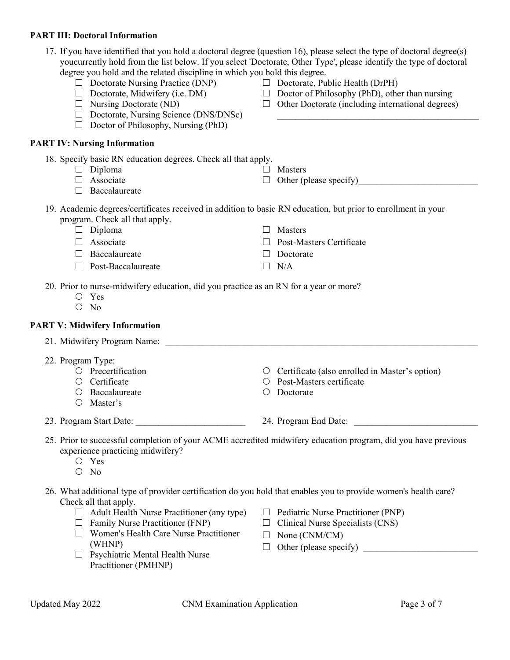## **PART III: Doctoral Information**

#### $\Box$  Doctorate, Midwifery (i.e. DM)  $\Box$  Nursing Doctorate (ND)  $\Box$  Doctorate, Nursing Science (DNS/DNSc)  $\Box$  Doctor of Philosophy, Nursing (PhD)  $\Box$  Doctor of Philosophy (PhD), other than nursing  $\Box$  Other Doctorate (including international degrees)  $\mathcal{L}_\text{max}$  , and the set of the set of the set of the set of the set of the set of the set of the set of the set of the set of the set of the set of the set of the set of the set of the set of the set of the set of the **PART IV: Nursing Information**  18. Specify basic RN education degrees. Check all that apply.  $\Box$  Diploma □ Associate  $\Box$  Baccalaureate  $\Box$  Masters  $\Box$  Other (please specify) 19. Academic degrees/certificates received in addition to basic RN education, but prior to enrollment in your program. Check all that apply.  $\Box$  Diploma  $\Box$  Associate □ Baccalaureate  $\Box$  Post-Baccalaureate □ Masters □ Post-Masters Certificate Doctorate  $\Box$  N/A 20. Prior to nurse-midwifery education, did you practice as an RN for a year or more? Yes O No **PART V: Midwifery Information**  21. Midwifery Program Name: 22. Program Type: O Precertification O Certificate Baccalaureate Master's Certificate (also enrolled in Master's option) Post-Masters certificate  $\bigcirc$  Doctorate 23. Program Start Date:  $24.$  Program End Date: 25. Prior to successful completion of your ACME accredited midwifery education program, did you have previous experience practicing midwifery? Yes  $O$  No 26. What additional type of provider certification do you hold that enables you to provide women's health care? Check all that apply.  $\Box$  Adult Health Nurse Practitioner (any type)  $\Box$  Family Nurse Practitioner (FNP) Women's Health Care Nurse Practitioner  $\Box$  Pediatric Nurse Practitioner (PNP)  $\Box$  Clinical Nurse Specialists (CNS)  $\Box$  None (CNM/CM)

17. If you have identified that you hold a doctoral degree (question 16), please select the type of doctoral degree(s) youcurrently hold from the list below. If you select 'Doctorate, Other Type', please identify the type of doctoral

 $\Box$  Doctorate, Public Health (DrPH)

degree you hold and the related discipline in which you hold this degree.

 $\Box$  Doctorate Nursing Practice (DNP)

- (WHNP)  $\Box$  Psychiatric Mental Health Nurse Practitioner (PMHNP)
- $\Box$  Other (please specify)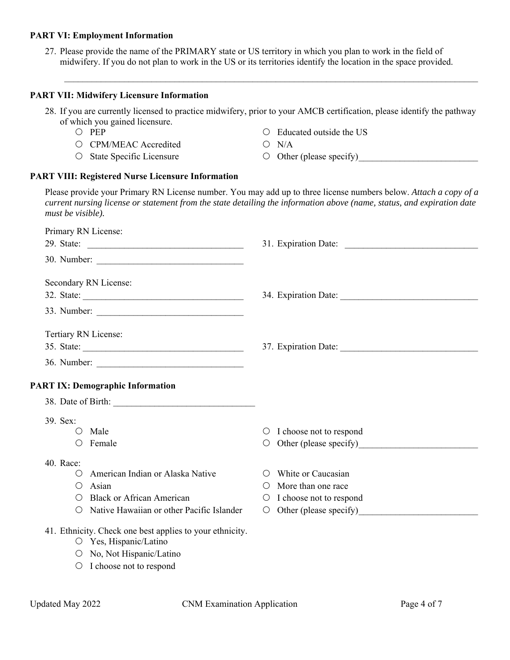#### **PART VI: Employment Information**

27. Please provide the name of the PRIMARY state or US territory in which you plan to work in the field of midwifery. If you do not plan to work in the US or its territories identify the location in the space provided.

#### **PART VII: Midwifery Licensure Information**

28. If you are currently licensed to practice midwifery, prior to your AMCB certification, please identify the pathway of which you gained licensure.

 $\mathcal{L}_\mathcal{L} = \mathcal{L}_\mathcal{L} = \mathcal{L}_\mathcal{L} = \mathcal{L}_\mathcal{L} = \mathcal{L}_\mathcal{L} = \mathcal{L}_\mathcal{L} = \mathcal{L}_\mathcal{L} = \mathcal{L}_\mathcal{L} = \mathcal{L}_\mathcal{L} = \mathcal{L}_\mathcal{L} = \mathcal{L}_\mathcal{L} = \mathcal{L}_\mathcal{L} = \mathcal{L}_\mathcal{L} = \mathcal{L}_\mathcal{L} = \mathcal{L}_\mathcal{L} = \mathcal{L}_\mathcal{L} = \mathcal{L}_\mathcal{L}$ 

- O PEP
- CPM/MEAC Accredited
- O State Specific Licensure
- Educated outside the US
- $O$  N/A
- $\circlearrowright$  Other (please specify)

#### **PART VIII: Registered Nurse Licensure Information**

Please provide your Primary RN License number. You may add up to three license numbers below. *Attach a copy of a current nursing license or statement from the state detailing the information above (name, status, and expiration date must be visible).* 

| Primary RN License:                                      |                                                |
|----------------------------------------------------------|------------------------------------------------|
|                                                          |                                                |
|                                                          |                                                |
| Secondary RN License:                                    |                                                |
|                                                          |                                                |
|                                                          |                                                |
| Tertiary RN License:                                     |                                                |
|                                                          |                                                |
|                                                          |                                                |
| <b>PART IX: Demographic Information</b>                  |                                                |
|                                                          |                                                |
| 39. Sex:                                                 |                                                |
| $O$ Male                                                 | $\circ$ I choose not to respond                |
| $\circ$ Female                                           | O                                              |
| 40. Race:                                                |                                                |
| O American Indian or Alaska Native                       | White or Caucasian<br>$\left( \right)$         |
| $\bigcirc$ Asian                                         | More than one race<br>$\left( \quad \right)$   |
| <b>Black or African American</b><br>$\bigcirc$           | I choose not to respond<br>$\circlearrowright$ |
| O Native Hawaiian or other Pacific Islander              | $\circ$                                        |
| 41. Ethnicity. Check one best applies to your ethnicity. |                                                |
| O Yes, Hispanic/Latino                                   |                                                |
| O No, Not Hispanic/Latino                                |                                                |
| $\circ$ I choose not to respond                          |                                                |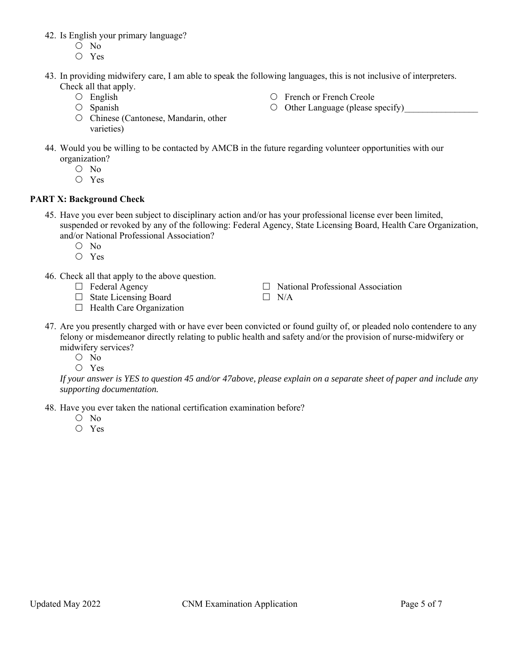- 42. Is English your primary language?
	- O No
	- Yes
- 43. In providing midwifery care, I am able to speak the following languages, this is not inclusive of interpreters. Check all that apply.
	- English
	- $O$  Spanish
	- O Chinese (Cantonese, Mandarin, other varieties)
- French or French Creole
- $\circ$  Other Language (please specify)
- 44. Would you be willing to be contacted by AMCB in the future regarding volunteer opportunities with our organization?
	- $O$  No
	- Yes

### **PART X: Background Check**

- 45. Have you ever been subject to disciplinary action and/or has your professional license ever been limited, suspended or revoked by any of the following: Federal Agency, State Licensing Board, Health Care Organization, and/or National Professional Association?
	- O No
	- Yes
- 46. Check all that apply to the above question.
	- $\Box$  Federal Agency
	- □ State Licensing Board
	- $\Box$  Health Care Organization
- $\Box$  National Professional Association  $\Box$  N/A
- 47. Are you presently charged with or have ever been convicted or found guilty of, or pleaded nolo contendere to any felony or misdemeanor directly relating to public health and safety and/or the provision of nurse-midwifery or midwifery services?
	- O No
	- Yes

*If your answer is YES to question 45 and/or 47above, please explain on a separate sheet of paper and include any supporting documentation.* 

48. Have you ever taken the national certification examination before?

- O No
- Yes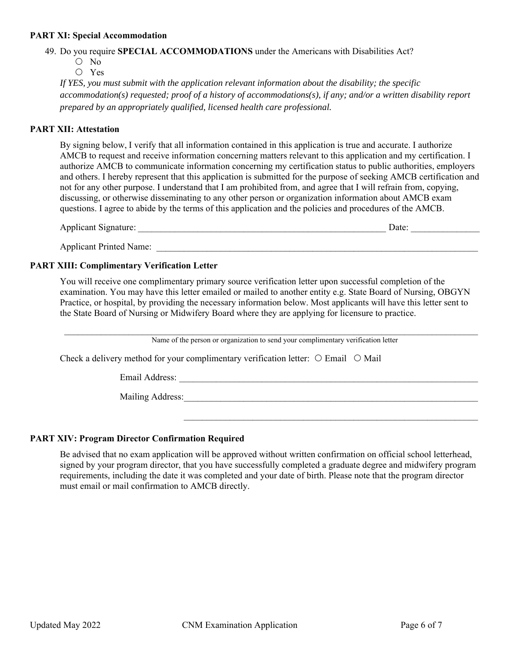#### **PART XI: Special Accommodation**

49. Do you require **SPECIAL ACCOMMODATIONS** under the Americans with Disabilities Act?

- $O$  No
- Yes

*If YES, you must submit with the application relevant information about the disability; the specific accommodation(s) requested; proof of a history of accommodations(s), if any; and/or a written disability report prepared by an appropriately qualified, licensed health care professional.* 

#### **PART XII: Attestation**

By signing below, I verify that all information contained in this application is true and accurate. I authorize AMCB to request and receive information concerning matters relevant to this application and my certification. I authorize AMCB to communicate information concerning my certification status to public authorities, employers and others. I hereby represent that this application is submitted for the purpose of seeking AMCB certification and not for any other purpose. I understand that I am prohibited from, and agree that I will refrain from, copying, discussing, or otherwise disseminating to any other person or organization information about AMCB exam questions. I agree to abide by the terms of this application and the policies and procedures of the AMCB.

| <b>Applicant Signature:</b>    | Date: |
|--------------------------------|-------|
| <b>Applicant Printed Name:</b> |       |

#### **PART XIII: Complimentary Verification Letter**

You will receive one complimentary primary source verification letter upon successful completion of the examination. You may have this letter emailed or mailed to another entity e.g. State Board of Nursing, OBGYN Practice, or hospital, by providing the necessary information below. Most applicants will have this letter sent to the State Board of Nursing or Midwifery Board where they are applying for licensure to practice.

Name of the person or organization to send your complimentary verification letter

 $\mathcal{L}_\text{max} = \frac{1}{2} \sum_{i=1}^n \mathcal{L}_\text{max}(\mathbf{z}_i - \mathbf{z}_i)$ 

Check a delivery method for your complimentary verification letter:  $\circ$  Email  $\circ$  Mail

Email Address:  $\blacksquare$ 

Mailing Address:

#### **PART XIV: Program Director Confirmation Required**

Be advised that no exam application will be approved without written confirmation on official school letterhead, signed by your program director, that you have successfully completed a graduate degree and midwifery program requirements, including the date it was completed and your date of birth. Please note that the program director must email or mail confirmation to AMCB directly.